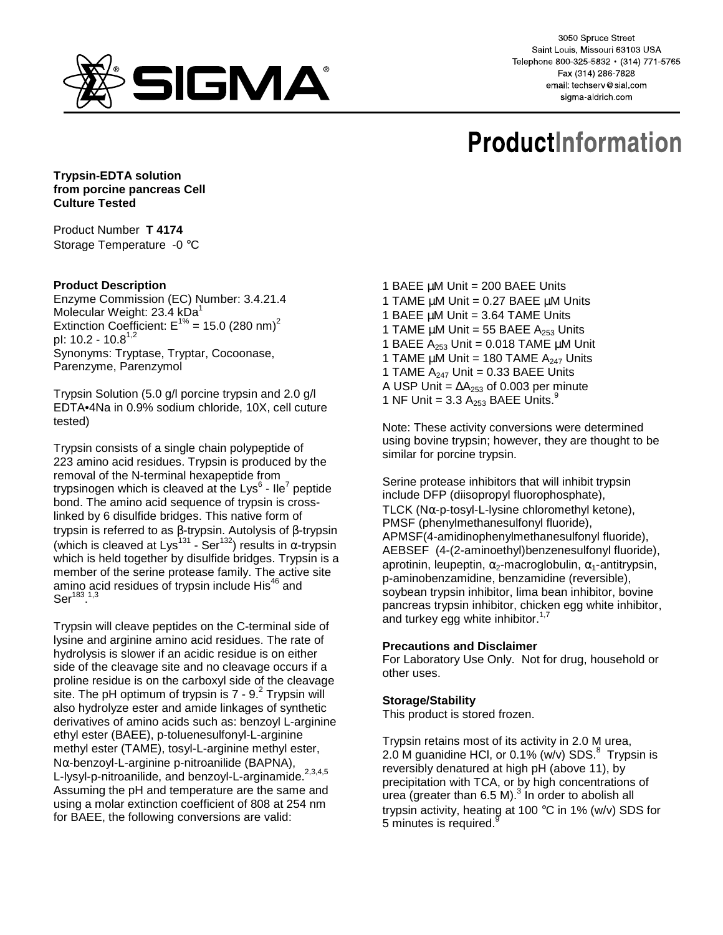

3050 Spruce Street Saint Louis, Missouri 63103 USA Telephone 800-325-5832 · (314) 771-5765 Fax (314) 286-7828 email: techserv@sial.com sigma-aldrich.com

# **ProductInformation**

**Trypsin-EDTA solution from porcine pancreas Cell Culture Tested** 

Product Number **T 4174** Storage Temperature -0 °C

## **Product Description**

Enzyme Commission (EC) Number: 3.4.21.4 Molecular Weight:  $23.4$  kDa<sup>1</sup> Extinction Coefficient:  $E^{1\%}$  = 15.0 (280 nm)<sup>2</sup> pl:  $10.2 - 10.8^{1,2}$ Synonyms: Tryptase, Tryptar, Cocoonase, Parenzyme, Parenzymol

Trypsin Solution (5.0 g/l porcine trypsin and 2.0 g/l EDTA•4Na in 0.9% sodium chloride, 10X, cell cuture tested)

Trypsin consists of a single chain polypeptide of 223 amino acid residues. Trypsin is produced by the removal of the N-terminal hexapeptide from trypsinogen which is cleaved at the Lys $^6$  - Ile<sup>7</sup> peptide bond. The amino acid sequence of trypsin is crosslinked by 6 disulfide bridges. This native form of trypsin is referred to as β-trypsin. Autolysis of β-trypsin (which is cleaved at Lys<sup>131</sup> - Ser<sup>132</sup>) results in  $\alpha$ -trypsin which is held together by disulfide bridges. Trypsin is a member of the serine protease family. The active site amino acid residues of trypsin include His<sup>46</sup> and  $\mathrm{Ser}^{183,1,3}$ 

Trypsin will cleave peptides on the C-terminal side of lysine and arginine amino acid residues. The rate of hydrolysis is slower if an acidic residue is on either side of the cleavage site and no cleavage occurs if a proline residue is on the carboxyl side of the cleavage site. The pH optimum of trypsin is 7 - 9. $^{2}$  Trypsin will also hydrolyze ester and amide linkages of synthetic derivatives of amino acids such as: benzoyl L-arginine ethyl ester (BAEE), p-toluenesulfonyl-L-arginine methyl ester (TAME), tosyl-L-arginine methyl ester, Nα-benzoyl-L-arginine p-nitroanilide (BAPNA), L-lysyl-p-nitroanilide, and benzoyl-L-arginamide.<sup>2,3,4,5</sup> Assuming the pH and temperature are the same and using a molar extinction coefficient of 808 at 254 nm for BAEE, the following conversions are valid:

- 1 BAEE  $\mu$ M Unit = 200 BAEE Units 1 TAME µM Unit = 0.27 BAEE µM Units 1 BAEE  $\mu$ M Unit = 3.64 TAME Units 1 TAME  $\mu$ M Unit = 55 BAEE A<sub>253</sub> Units 1 BAEE  $A_{253}$  Unit = 0.018 TAME  $\mu$ M Unit 1 TAME  $\mu$ M Unit = 180 TAME  $A_{247}$  Units 1 TAME  $A_{247}$  Unit = 0.33 BAEE Units A USP Unit =  $\Delta A_{253}$  of 0.003 per minute
- 1 NF Unit = 3.3  $A_{253}$  BAEE Units.<sup>9</sup>

Note: These activity conversions were determined using bovine trypsin; however, they are thought to be similar for porcine trypsin.

Serine protease inhibitors that will inhibit trypsin include DFP (diisopropyl fluorophosphate), TLCK (N $\alpha$ -p-tosyl-L-lysine chloromethyl ketone), PMSF (phenylmethanesulfonyl fluoride), APMSF(4-amidinophenylmethanesulfonyl fluoride), AEBSEF (4-(2-aminoethyl)benzenesulfonyl fluoride), aprotinin, leupeptin,  $\alpha_2$ -macroglobulin,  $\alpha_1$ -antitrypsin, p-aminobenzamidine, benzamidine (reversible), soybean trypsin inhibitor, lima bean inhibitor, bovine pancreas trypsin inhibitor, chicken egg white inhibitor, and turkey egg white inhibitor. $1/7$ 

### **Precautions and Disclaimer**

For Laboratory Use Only. Not for drug, household or other uses.

### **Storage/Stability**

This product is stored frozen.

Trypsin retains most of its activity in 2.0 M urea, 2.0 M guanidine HCl, or 0.1% (w/v) SDS. $8$  Trypsin is reversibly denatured at high pH (above 11), by precipitation with TCA, or by high concentrations of  $\overline{\mathsf{u}}$ rea (greater than 6.5 M). $^3$  In order to abolish all trypsin activity, heating at 100 °C in 1% (w/v) SDS for 5 minutes is required.<sup>9</sup>